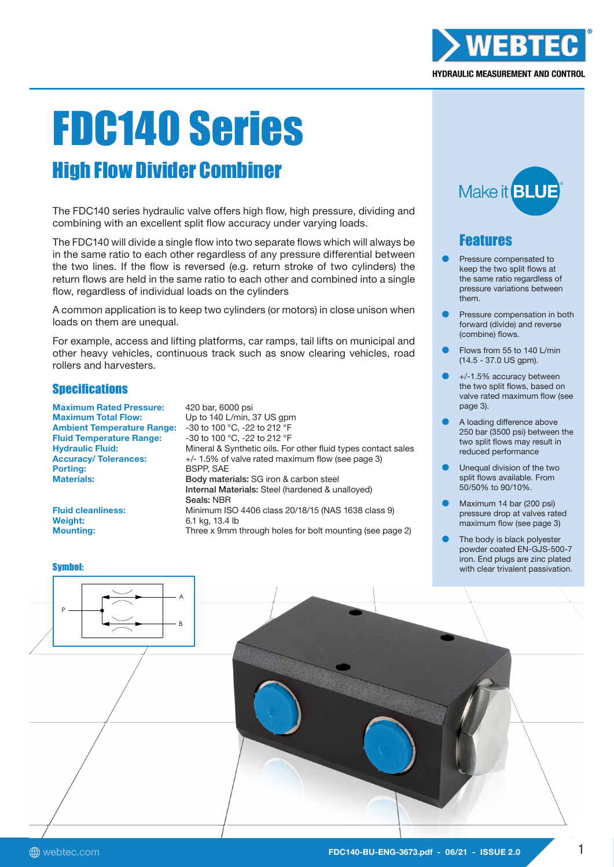

# FDC140 Series

# High Flow Divider Combiner

The FDC140 series hydraulic valve offers high flow, high pressure, dividing and combining with an excellent split flow accuracy under varying loads.

The FDC140 will divide a single flow into two separate flows which will always be in the same ratio to each other regardless of any pressure differential between the two lines. If the flow is reversed (e.g. return stroke of two cylinders) the return flows are held in the same ratio to each other and combined into a single flow, regardless of individual loads on the cylinders

A common application is to keep two cylinders (or motors) in close unison when loads on them are unequal.

For example, access and lifting platforms, car ramps, tail lifts on municipal and other heavy vehicles, continuous track such as snow clearing vehicles, road rollers and harvesters.

# **Specifications**

Maximum Rated Pressure: 420 bar, 6000 psi Maximum Total Flow: Up to 140 L/min, 37 US gpm<br>Ambient Temperature Range: -30 to 100 °C. -22 to 212 °F **Ambient Temperature Range:** Fluid Temperature Range: -30 to 100 °C, -22 to 212 °F

Hydraulic Fluid: Mineral & Synthetic oils. For other fluid types contact sales Accuracy/ Tolerances:  $+/- 1.5%$  of valve rated maximum flow (see page 3)<br>Porting: BSPP, SAE **BSPP, SAF** Materials: **Materials:** Body materials: SG iron & carbon steel Internal Materials: Steel (hardened & unalloyed) Seals: NBR Fluid cleanliness: Minimum ISO 4406 class 20/18/15 (NAS 1638 class 9) Mounting: Three x 9mm through holes for bolt mounting (see page 2)

Weight: 6.1 kg, 13.4 lb



# Features

- Pressure compensated to keep the two split flows at the same ratio regardless of pressure variations between them.
- Pressure compensation in both forward (divide) and reverse (combine) flows.
- Flows from 55 to 140 L/min (14.5 - 37.0 US gpm).
- +/-1.5% accuracy between the two split flows, based on valve rated maximum flow (see page 3).
- A loading difference above 250 bar (3500 psi) between the two split flows may result in reduced performance
- Unequal division of the two split flows available. From 50/50% to 90/10%.
- Maximum 14 bar (200 psi) pressure drop at valves rated maximum flow (see page 3)
- The body is black polyester powder coated EN-GJS-500-7 iron. End plugs are zinc plated with clear trivalent passivation.

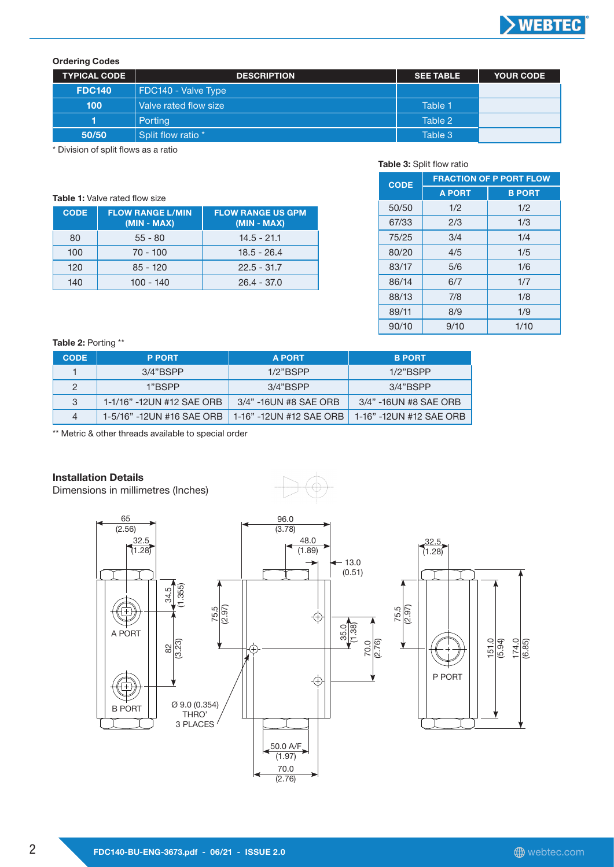

## Ordering Codes

| <b>TYPICAL CODE</b> | <b>DESCRIPTION</b>    | <b>SEE TABLE</b> | <b>YOUR CODE</b> |
|---------------------|-----------------------|------------------|------------------|
| <b>FDC140</b>       | FDC140 - Valve Type   |                  |                  |
| 100                 | Valve rated flow size | Table 1          |                  |
|                     | Porting               | Table 2          |                  |
| 50/50               | Split flow ratio *    | Table 3          |                  |

\* Division of split flows as a ratio

| <b>Table 1:</b> Valve rated flow size |                                          |                                           |  |  |  |  |
|---------------------------------------|------------------------------------------|-------------------------------------------|--|--|--|--|
| <b>CODE</b>                           | <b>FLOW RANGE L/MIN</b><br>$(MIN - MAX)$ | <b>FLOW RANGE US GPM</b><br>$(MIN - MAX)$ |  |  |  |  |
| 80                                    | $55 - 80$                                | $14.5 - 21.1$                             |  |  |  |  |
| 100                                   | $70 - 100$                               | $18.5 - 26.4$                             |  |  |  |  |
| 120                                   | $85 - 120$                               | $22.5 - 31.7$                             |  |  |  |  |
| 140                                   | 100 - 140                                | $26.4 - 37.0$                             |  |  |  |  |

#### Table 3: Split flow ratio

| <b>CODE</b> | <b>FRACTION OF P PORT FLOW</b> |               |  |  |  |
|-------------|--------------------------------|---------------|--|--|--|
|             | <b>A PORT</b>                  | <b>B PORT</b> |  |  |  |
| 50/50       | 1/2                            | 1/2           |  |  |  |
| 67/33       | 2/3                            | 1/3           |  |  |  |
| 75/25       | 3/4                            | 1/4           |  |  |  |
| 80/20       | 4/5                            | 1/5           |  |  |  |
| 83/17       | 5/6                            | 1/6           |  |  |  |
| 86/14       | 6/7                            | 1/7           |  |  |  |
| 88/13       | 7/8                            | 1/8           |  |  |  |
| 89/11       | 8/9                            | 1/9           |  |  |  |
| 90/10       | 9/10                           | 1/10          |  |  |  |

#### Table 2: Porting \*\*

| <b>CODE</b>   | <b>P PORT</b>             | <b>A PORT</b>           | <b>B PORT</b>           |
|---------------|---------------------------|-------------------------|-------------------------|
|               | $3/4$ "BSPP               | $1/2$ "BSPP             | $1/2$ " $BSPP$          |
| $\mathcal{D}$ | 1"BSPP                    | $3/4$ "BSPP             | 3/4"BSPP                |
| 3             | 1-1/16" -12UN #12 SAE ORB | 3/4" -16UN #8 SAE ORB   | 3/4" -16UN #8 SAE ORB   |
| 4             | 1-5/16" -12UN #16 SAE ORB | 1-16" -12UN #12 SAE ORB | 1-16" -12UN #12 SAE ORB |

\*\* Metric & other threads available to special order

### Installation Details

Dimensions in millimetres (Inches)